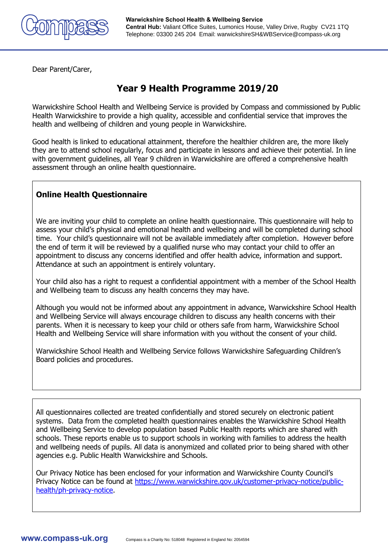

Dear Parent/Carer,

# **Year 9 Health Programme 2019/20**

Warwickshire School Health and Wellbeing Service is provided by Compass and commissioned by Public Health Warwickshire to provide a high quality, accessible and confidential service that improves the health and wellbeing of children and young people in Warwickshire.

Good health is linked to educational attainment, therefore the healthier children are, the more likely they are to attend school regularly, focus and participate in lessons and achieve their potential. In line with government guidelines, all Year 9 children in Warwickshire are offered a comprehensive health assessment through an online health questionnaire.

## **Online Health Questionnaire**

We are inviting your child to complete an online health questionnaire. This questionnaire will help to assess your child's physical and emotional health and wellbeing and will be completed during school time. Your child's questionnaire will not be available immediately after completion. However before the end of term it will be reviewed by a qualified nurse who may contact your child to offer an appointment to discuss any concerns identified and offer health advice, information and support. Attendance at such an appointment is entirely voluntary.

Your child also has a right to request a confidential appointment with a member of the School Health and Wellbeing team to discuss any health concerns they may have.

Although you would not be informed about any appointment in advance, Warwickshire School Health and Wellbeing Service will always encourage children to discuss any health concerns with their parents. When it is necessary to keep your child or others safe from harm, Warwickshire School Health and Wellbeing Service will share information with you without the consent of your child.

Warwickshire School Health and Wellbeing Service follows Warwickshire Safeguarding Children's Board policies and procedures.

All questionnaires collected are treated confidentially and stored securely on electronic patient systems. Data from the completed health questionnaires enables the Warwickshire School Health and Wellbeing Service to develop population based Public Health reports which are shared with schools. These reports enable us to support schools in working with families to address the health and wellbeing needs of pupils. All data is anonymized and collated prior to being shared with other agencies e.g. Public Health Warwickshire and Schools.

Our Privacy Notice has been enclosed for your information and Warwickshire County Council's Privacy Notice can be found at [https://www.warwickshire.gov.uk/customer-privacy-notice/public](https://www.warwickshire.gov.uk/customer-privacy-notice/public-health/ph-privacy-notice)[health/ph-privacy-notice.](https://www.warwickshire.gov.uk/customer-privacy-notice/public-health/ph-privacy-notice)